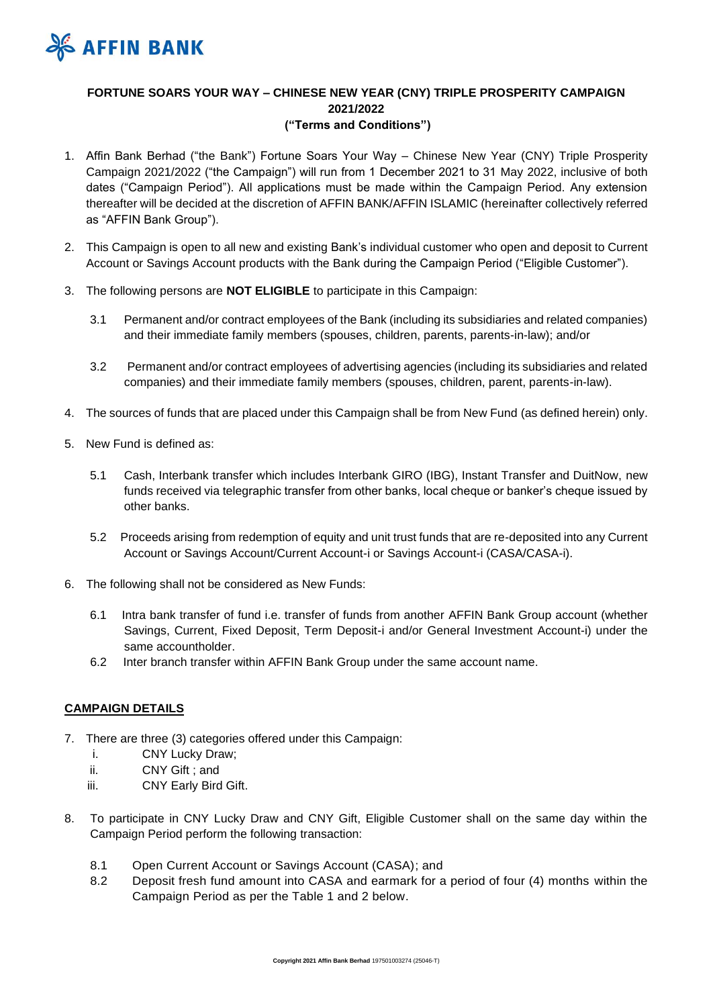

# **FORTUNE SOARS YOUR WAY – CHINESE NEW YEAR (CNY) TRIPLE PROSPERITY CAMPAIGN 2021/2022 ("Terms and Conditions")**

- 1. Affin Bank Berhad ("the Bank") Fortune Soars Your Way Chinese New Year (CNY) Triple Prosperity Campaign 2021/2022 ("the Campaign") will run from 1 December 2021 to 31 May 2022, inclusive of both dates ("Campaign Period"). All applications must be made within the Campaign Period. Any extension thereafter will be decided at the discretion of AFFIN BANK/AFFIN ISLAMIC (hereinafter collectively referred as "AFFIN Bank Group").
- 2. This Campaign is open to all new and existing Bank's individual customer who open and deposit to Current Account or Savings Account products with the Bank during the Campaign Period ("Eligible Customer").
- 3. The following persons are **NOT ELIGIBLE** to participate in this Campaign:
	- 3.1 Permanent and/or contract employees of the Bank (including its subsidiaries and related companies) and their immediate family members (spouses, children, parents, parents-in-law); and/or
	- 3.2 Permanent and/or contract employees of advertising agencies (including its subsidiaries and related companies) and their immediate family members (spouses, children, parent, parents-in-law).
- 4. The sources of funds that are placed under this Campaign shall be from New Fund (as defined herein) only.
- 5. New Fund is defined as:
	- 5.1 Cash, Interbank transfer which includes Interbank GIRO (IBG), Instant Transfer and DuitNow, new funds received via telegraphic transfer from other banks, local cheque or banker's cheque issued by other banks.
	- 5.2 Proceeds arising from redemption of equity and unit trust funds that are re-deposited into any Current Account or Savings Account/Current Account-i or Savings Account-i (CASA/CASA-i).
- 6. The following shall not be considered as New Funds:
	- 6.1 Intra bank transfer of fund i.e. transfer of funds from another AFFIN Bank Group account (whether Savings, Current, Fixed Deposit, Term Deposit-i and/or General Investment Account-i) under the same accountholder.
	- 6.2 Inter branch transfer within AFFIN Bank Group under the same account name.

# **CAMPAIGN DETAILS**

- 7. There are three (3) categories offered under this Campaign:
	- i. CNY Lucky Draw;
	- ii. CNY Gift ; and
	- iii. CNY Early Bird Gift.
- 8. To participate in CNY Lucky Draw and CNY Gift, Eligible Customer shall on the same day within the Campaign Period perform the following transaction:
	- 8.1 Open Current Account or Savings Account (CASA); and
	- 8.2 Deposit fresh fund amount into CASA and earmark for a period of four (4) months within the Campaign Period as per the Table 1 and 2 below.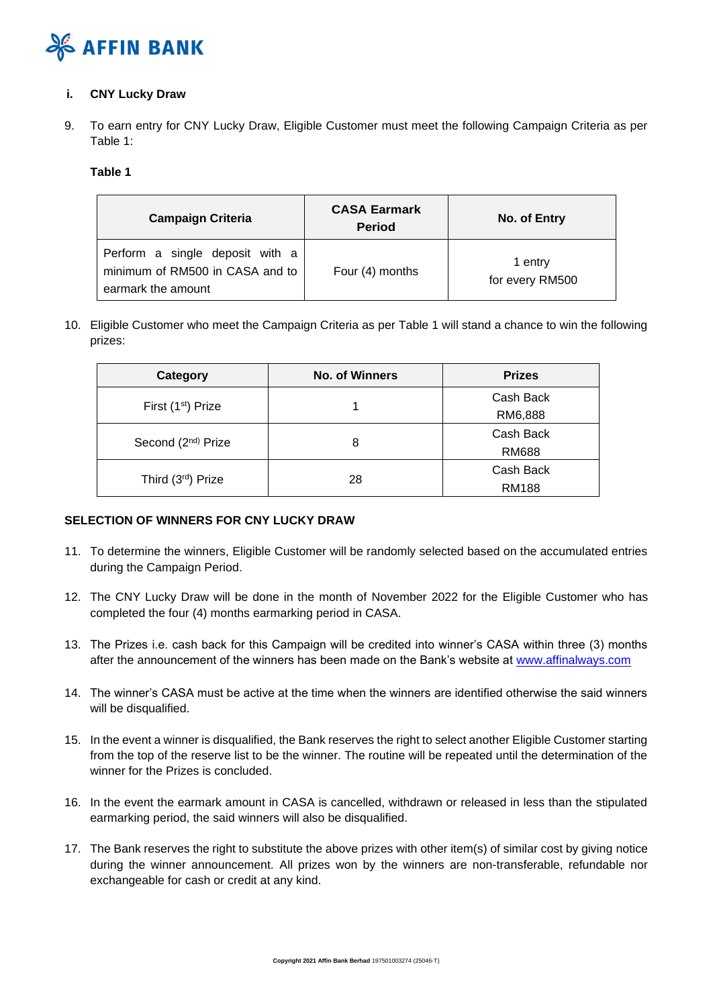

## **i. CNY Lucky Draw**

9. To earn entry for CNY Lucky Draw, Eligible Customer must meet the following Campaign Criteria as per Table 1:

## **Table 1**

| <b>Campaign Criteria</b>                                                                 | <b>CASA Earmark</b><br><b>Period</b> | No. of Entry               |
|------------------------------------------------------------------------------------------|--------------------------------------|----------------------------|
| Perform a single deposit with a<br>minimum of RM500 in CASA and to<br>earmark the amount | Four (4) months                      | 1 entry<br>for every RM500 |

10. Eligible Customer who meet the Campaign Criteria as per Table 1 will stand a chance to win the following prizes:

| Category                       | <b>No. of Winners</b> | <b>Prizes</b> |
|--------------------------------|-----------------------|---------------|
|                                |                       | Cash Back     |
| First (1 <sup>st</sup> ) Prize |                       | RM6,888       |
| Second (2 <sup>nd)</sup> Prize |                       | Cash Back     |
|                                | 8                     | <b>RM688</b>  |
| Third (3rd) Prize              |                       | Cash Back     |
|                                | 28                    | <b>RM188</b>  |

# **SELECTION OF WINNERS FOR CNY LUCKY DRAW**

- 11. To determine the winners, Eligible Customer will be randomly selected based on the accumulated entries during the Campaign Period.
- 12. The CNY Lucky Draw will be done in the month of November 2022 for the Eligible Customer who has completed the four (4) months earmarking period in CASA.
- 13. The Prizes i.e. cash back for this Campaign will be credited into winner's CASA within three (3) months after the announcement of the winners has been made on the Bank's website at [www.affinalways.com](http://www.affinalways.com/)
- 14. The winner's CASA must be active at the time when the winners are identified otherwise the said winners will be disqualified.
- 15. In the event a winner is disqualified, the Bank reserves the right to select another Eligible Customer starting from the top of the reserve list to be the winner. The routine will be repeated until the determination of the winner for the Prizes is concluded.
- 16. In the event the earmark amount in CASA is cancelled, withdrawn or released in less than the stipulated earmarking period, the said winners will also be disqualified.
- 17. The Bank reserves the right to substitute the above prizes with other item(s) of similar cost by giving notice during the winner announcement. All prizes won by the winners are non-transferable, refundable nor exchangeable for cash or credit at any kind.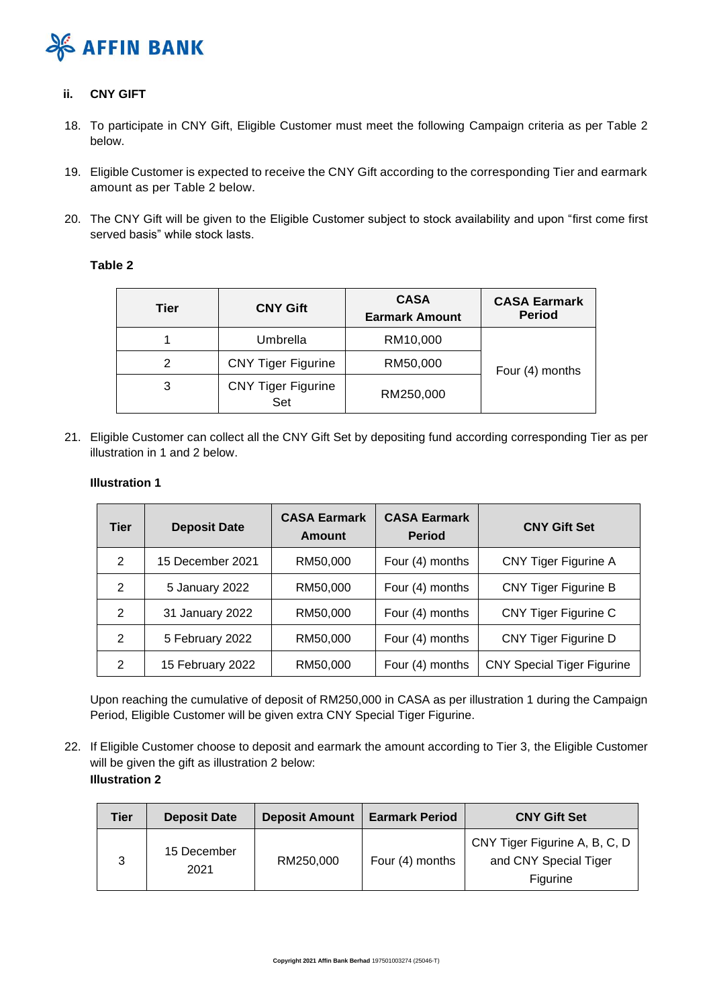

## **ii. CNY GIFT**

- 18. To participate in CNY Gift, Eligible Customer must meet the following Campaign criteria as per Table 2 below.
- 19. Eligible Customer is expected to receive the CNY Gift according to the corresponding Tier and earmark amount as per Table 2 below.
- 20. The CNY Gift will be given to the Eligible Customer subject to stock availability and upon "first come first served basis" while stock lasts.

## **Table 2**

| Tier | <b>CNY Gift</b>                  | <b>CASA</b><br><b>Earmark Amount</b> | <b>CASA Earmark</b><br><b>Period</b> |
|------|----------------------------------|--------------------------------------|--------------------------------------|
|      | Umbrella                         | RM10,000                             |                                      |
|      | <b>CNY Tiger Figurine</b>        | RM50,000                             | Four (4) months                      |
| 3    | <b>CNY Tiger Figurine</b><br>Set | RM250,000                            |                                      |

21. Eligible Customer can collect all the CNY Gift Set by depositing fund according corresponding Tier as per illustration in 1 and 2 below.

#### **Illustration 1**

| <b>Tier</b> | <b>Deposit Date</b> | <b>CASA Earmark</b><br><b>Amount</b> | <b>CASA Earmark</b><br><b>Period</b> | <b>CNY Gift Set</b>               |
|-------------|---------------------|--------------------------------------|--------------------------------------|-----------------------------------|
| 2           | 15 December 2021    | RM50,000                             | Four (4) months                      | <b>CNY Tiger Figurine A</b>       |
| 2           | 5 January 2022      | RM50,000                             | Four (4) months                      | <b>CNY Tiger Figurine B</b>       |
| 2           | 31 January 2022     | RM50,000                             | Four (4) months                      | <b>CNY Tiger Figurine C</b>       |
| 2           | 5 February 2022     | RM50,000                             | Four (4) months                      | <b>CNY Tiger Figurine D</b>       |
| 2           | 15 February 2022    | RM50,000                             | Four (4) months                      | <b>CNY Special Tiger Figurine</b> |

Upon reaching the cumulative of deposit of RM250,000 in CASA as per illustration 1 during the Campaign Period, Eligible Customer will be given extra CNY Special Tiger Figurine.

22. If Eligible Customer choose to deposit and earmark the amount according to Tier 3, the Eligible Customer will be given the gift as illustration 2 below: **Illustration 2**

| Tier | <b>Deposit Date</b> | <b>Deposit Amount</b> | <b>Earmark Period</b> | <b>CNY Gift Set</b>                                                |
|------|---------------------|-----------------------|-----------------------|--------------------------------------------------------------------|
| 3    | 15 December<br>2021 | RM250,000             | Four (4) months       | CNY Tiger Figurine A, B, C, D<br>and CNY Special Tiger<br>Figurine |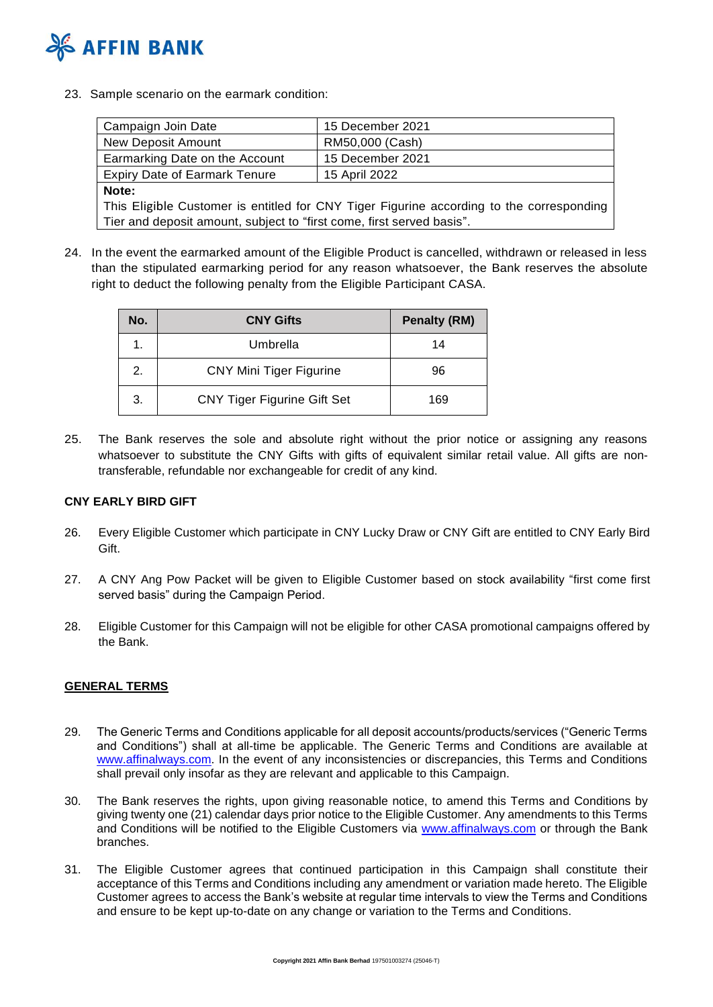

23. Sample scenario on the earmark condition:

| Campaign Join Date                                                                       | 15 December 2021 |  |  |
|------------------------------------------------------------------------------------------|------------------|--|--|
| New Deposit Amount                                                                       | RM50,000 (Cash)  |  |  |
| Earmarking Date on the Account                                                           | 15 December 2021 |  |  |
| <b>Expiry Date of Earmark Tenure</b>                                                     | 15 April 2022    |  |  |
| Note:                                                                                    |                  |  |  |
| This Eligible Customer is entitled for CNY Tiger Figurine according to the corresponding |                  |  |  |
| Tier and deposit amount, subject to "first come, first served basis".                    |                  |  |  |

24. In the event the earmarked amount of the Eligible Product is cancelled, withdrawn or released in less than the stipulated earmarking period for any reason whatsoever, the Bank reserves the absolute right to deduct the following penalty from the Eligible Participant CASA.

| No. | <b>CNY Gifts</b>                   | <b>Penalty (RM)</b> |
|-----|------------------------------------|---------------------|
|     | Umbrella                           | 14                  |
| 2.  | <b>CNY Mini Tiger Figurine</b>     | 96                  |
| 3.  | <b>CNY Tiger Figurine Gift Set</b> | 169                 |

25. The Bank reserves the sole and absolute right without the prior notice or assigning any reasons whatsoever to substitute the CNY Gifts with gifts of equivalent similar retail value. All gifts are nontransferable, refundable nor exchangeable for credit of any kind.

## **CNY EARLY BIRD GIFT**

- 26. Every Eligible Customer which participate in CNY Lucky Draw or CNY Gift are entitled to CNY Early Bird Gift.
- 27. A CNY Ang Pow Packet will be given to Eligible Customer based on stock availability "first come first served basis" during the Campaign Period.
- 28. Eligible Customer for this Campaign will not be eligible for other CASA promotional campaigns offered by the Bank.

# **GENERAL TERMS**

- 29. The Generic Terms and Conditions applicable for all deposit accounts/products/services ("Generic Terms and Conditions") shall at all-time be applicable. The Generic Terms and Conditions are available at [www.affinalways.com.](http://www.affinalways.com/) In the event of any inconsistencies or discrepancies, this Terms and Conditions shall prevail only insofar as they are relevant and applicable to this Campaign.
- 30. The Bank reserves the rights, upon giving reasonable notice, to amend this Terms and Conditions by giving twenty one (21) calendar days prior notice to the Eligible Customer. Any amendments to this Terms and Conditions will be notified to the Eligible Customers via [www.affinalways.com](http://www.affinalways.com/) or through the Bank branches.
- 31. The Eligible Customer agrees that continued participation in this Campaign shall constitute their acceptance of this Terms and Conditions including any amendment or variation made hereto. The Eligible Customer agrees to access the Bank's website at regular time intervals to view the Terms and Conditions and ensure to be kept up-to-date on any change or variation to the Terms and Conditions.